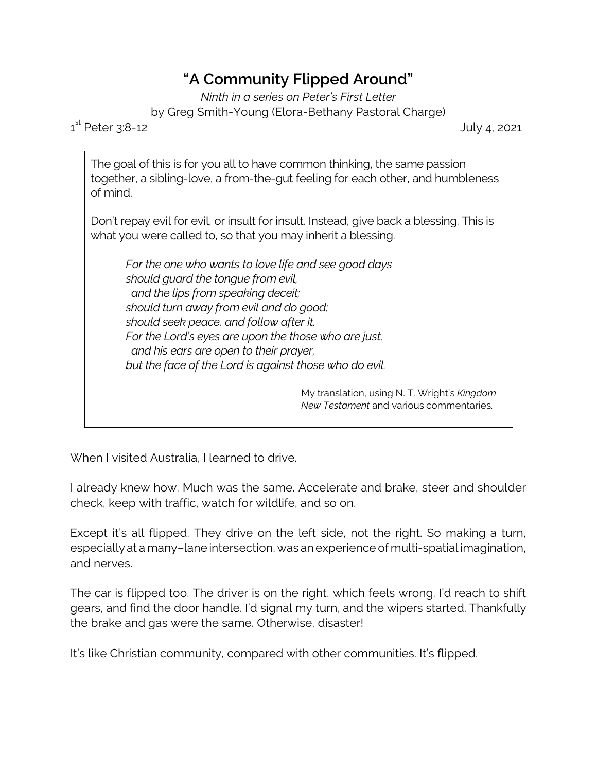## **"A Community Flipped Around"**

*Ninth in a series on Peter's First Letter* by Greg Smith-Young (Elora-Bethany Pastoral Charge)

 $1^{\text{st}}$ 

July 4, 2021

The goal of this is for you all to have common thinking, the same passion together, a sibling-love, a from-the-gut feeling for each other, and humbleness of mind.

Don't repay evil for evil, or insult for insult. Instead, give back a blessing. This is what you were called to, so that you may inherit a blessing.

*For the one who wants to love life and see good days should guard the tongue from evil, and the lips from speaking deceit; should turn away from evil and do good; should seek peace, and follow after it. For the Lord's eyes are upon the those who are just, and his ears are open to their prayer, but the face of the Lord is against those who do evil.*

> My translation, using N. T. Wright's *Kingdom New Testament* and various commentaries.

When I visited Australia, I learned to drive.

I already knew how. Much was the same. Accelerate and brake, steer and shoulder check, keep with traffic, watch for wildlife, and so on.

Except it's all flipped. They drive on the left side, not the right. So making a turn, especially at a many–lane intersection, was an experience of multi-spatial imagination, and nerves.

The car is flipped too. The driver is on the right, which feels wrong. I'd reach to shift gears, and find the door handle. I'd signal my turn, and the wipers started. Thankfully the brake and gas were the same. Otherwise, disaster!

It's like Christian community, compared with other communities. It's flipped.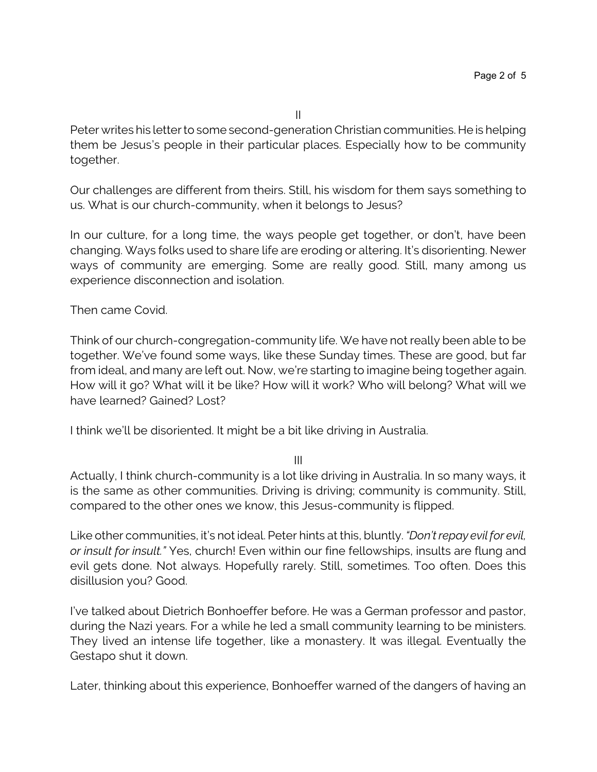Peter writes his letter to some second-generation Christian communities. He is helping them be Jesus's people in their particular places. Especially how to be community together.

Our challenges are different from theirs. Still, his wisdom for them says something to us. What is our church-community, when it belongs to Jesus?

In our culture, for a long time, the ways people get together, or don't, have been changing. Ways folks used to share life are eroding or altering. It's disorienting. Newer ways of community are emerging. Some are really good. Still, many among us experience disconnection and isolation.

Then came Covid.

Think of our church-congregation-community life. We have not really been able to be together. We've found some ways, like these Sunday times. These are good, but far from ideal, and many are left out. Now, we're starting to imagine being together again. How will it go? What will it be like? How will it work? Who will belong? What will we have learned? Gained? Lost?

I think we'll be disoriented. It might be a bit like driving in Australia.

III

Actually, I think church-community is a lot like driving in Australia. In so many ways, it is the same as other communities. Driving is driving; community is community. Still, compared to the other ones we know, this Jesus-community is flipped.

Like other communities, it's not ideal. Peter hints at this, bluntly. *"Don't repay evil for evil, or insult for insult."* Yes, church! Even within our fine fellowships, insults are flung and evil gets done. Not always. Hopefully rarely. Still, sometimes. Too often. Does this disillusion you? Good.

I've talked about Dietrich Bonhoeffer before. He was a German professor and pastor, during the Nazi years. For a while he led a small community learning to be ministers. They lived an intense life together, like a monastery. It was illegal. Eventually the Gestapo shut it down.

Later, thinking about this experience, Bonhoeffer warned of the dangers of having an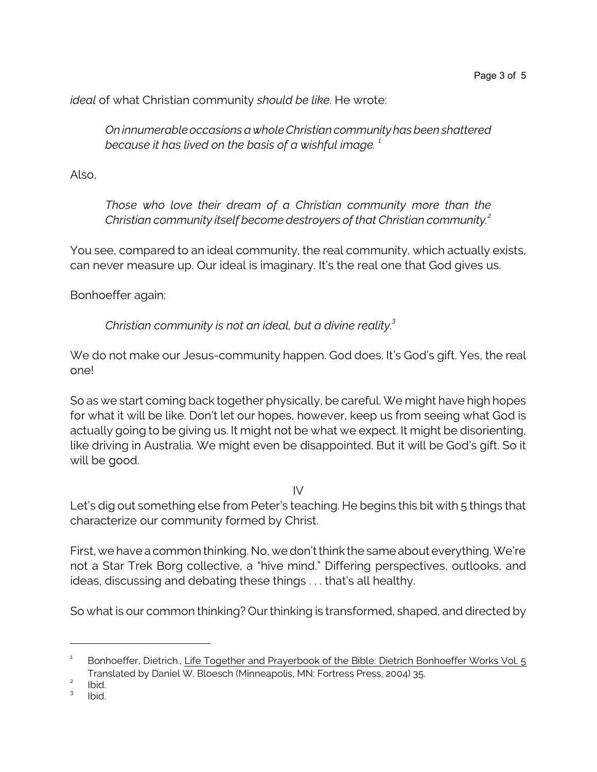*ideal* of what Christian community *should be like*. He wrote:

*On innumerable occasions a whole Christian community has been shattered because it has lived on the basis of a wishful image. <sup>1</sup>*

Also,

*Those who love their dream of a Christian community more than the Christian community itself become destroyers of that Christian community.<sup>2</sup>*

You see, compared to an ideal community, the real community, which actually exists, can never measure up. Our ideal is imaginary. It's the real one that God gives us.

Bonhoeffer again:

*Christian community is not an ideal, but a divine reality.<sup>3</sup>*

We do not make our Jesus-community happen. God does. It's God's gift. Yes, the real one!

So as we start coming back together physically, be careful. We might have high hopes for what it will be like. Don't let our hopes, however, keep us from seeing what God is actually going to be giving us. It might not be what we expect. It might be disorienting, like driving in Australia. We might even be disappointed. But it will be God's gift. So it will be good.

 $IV$ 

Let's dig out something else from Peter's teaching. He begins this bit with 5 things that characterize our community formed by Christ.

First, we have a common thinking. No, we don't think the same about everything. We're not a Star Trek Borg collective, a "hive mind." Differing perspectives, outlooks, and ideas, discussing and debating these things . . . that's all healthy.

So what is our common thinking? Our thinking is transformed, shaped, and directed by

<sup>1</sup> Bonhoeffer, Dietrich., Life Together and Prayerbook of the Bible: Dietrich Bonhoeffer Works Vol. 5 Translated by Daniel W. Bloesch (Minneapolis, MN: Fortress Press, 2004) 35.

<sup>2</sup> Ibid.

<sup>3</sup> Ibid.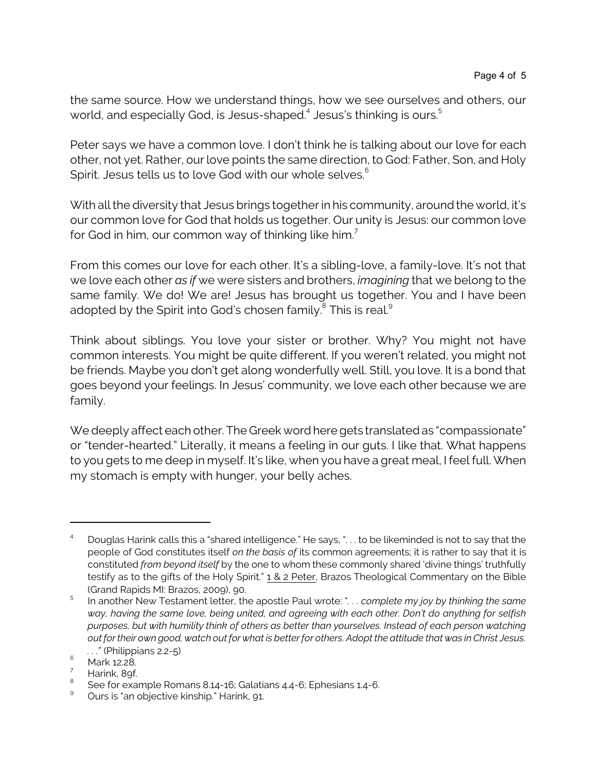the same source. How we understand things, how we see ourselves and others, our world, and especially God, is Jesus-shaped. $^4$  Jesus's thinking is ours. $^5$ 

Peter says we have a common love. I don't think he is talking about our love for each other, not yet. Rather, our love points the same direction, to God: Father, Son, and Holy Spirit. Jesus tells us to love God with our whole selves.<sup>6</sup>

With all the diversity that Jesus brings together in his community, around the world, it's our common love for God that holds us together. Our unity is Jesus: our common love for God in him, our common way of thinking like him.<sup>7</sup>

From this comes our love for each other. It's a sibling-love, a family-love. It's not that we love each other *as if* we were sisters and brothers, *imagining* that we belong to the same family. We do! We are! Jesus has brought us together. You and I have been adopted by the Spirit into God's chosen family. $^{\rm 8}$  This is real. $^{\rm 9}$ 

Think about siblings. You love your sister or brother. Why? You might not have common interests. You might be quite different. If you weren't related, you might not be friends. Maybe you don't get along wonderfully well. Still, you love. It is a bond that goes beyond your feelings. In Jesus' community, we love each other because we are family.

We deeply affect each other. The Greek word here gets translated as "compassionate" or "tender-hearted." Literally, it means a feeling in our guts. I like that. What happens to you gets to me deep in myself. It's like, when you have a great meal, I feel full. When my stomach is empty with hunger, your belly aches.

<sup>4</sup> Douglas Harink calls this a "shared intelligence." He says, ". . . to be likeminded is not to say that the people of God constitutes itself *on the basis of* its common agreements; it is rather to say that it is constituted *from beyond itself* by the one to whom these commonly shared 'divine things' truthfully testify as to the gifts of the Holy Spirit." 1 & 2 Peter, Brazos Theological Commentary on the Bible (Grand Rapids MI: Brazos, 2009), 90.

<sup>5</sup> In another New Testament letter, the apostle Paul wrote: "*. . . complete my joy by thinking the same way, having the same love, being united, and agreeing with each other. Don't do anything for selfish purposes, but with humility think of others as better than yourselves. Instead of each person watching out fortheir own good, watch out for what is betterfor others. Adopt the attitude that was in Christ Jesus. . . .*" (Philippians 2.2-5)

 $^6$  Mark 12.28.

Harink, 89f.

<sup>8</sup> See for example Romans 8.14-16; Galatians 4.4-6; Ephesians 1.4-6.

<sup>&</sup>lt;sup>9</sup> Ours is "an objective kinship." Harink, 91.